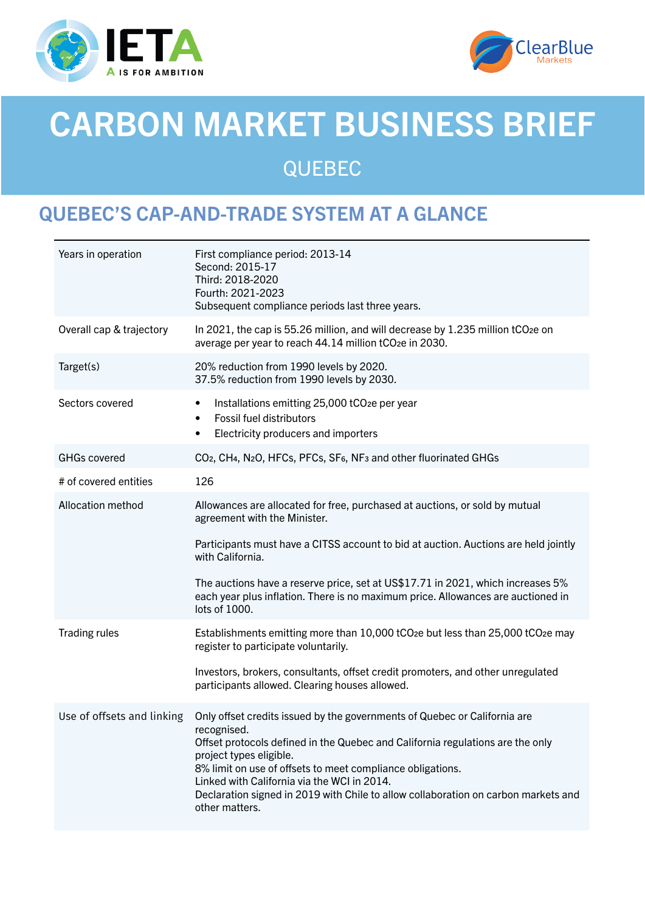



# CARBON MARKET BUSINESS BRIEF QUEBEC

# QUEBEC'S CAP-AND-TRADE SYSTEM AT A GLANCE

| Years in operation         | First compliance period: 2013-14<br>Second: 2015-17<br>Third: 2018-2020<br>Fourth: 2021-2023<br>Subsequent compliance periods last three years.                                                                                                                                                                                                                                                                            |
|----------------------------|----------------------------------------------------------------------------------------------------------------------------------------------------------------------------------------------------------------------------------------------------------------------------------------------------------------------------------------------------------------------------------------------------------------------------|
| Overall cap & trajectory   | In 2021, the cap is 55.26 million, and will decrease by 1.235 million tCO2e on<br>average per year to reach 44.14 million tCO <sub>2</sub> e in 2030.                                                                                                                                                                                                                                                                      |
| Target(s)                  | 20% reduction from 1990 levels by 2020.<br>37.5% reduction from 1990 levels by 2030.                                                                                                                                                                                                                                                                                                                                       |
| Sectors covered            | Installations emitting 25,000 tCO <sub>2</sub> e per year<br>$\bullet$<br>Fossil fuel distributors<br>٠<br>Electricity producers and importers<br>$\bullet$                                                                                                                                                                                                                                                                |
| <b>GHGs covered</b>        | CO <sub>2</sub> , CH <sub>4</sub> , N <sub>2</sub> O, HFC <sub>s</sub> , PFC <sub>s</sub> , SF <sub>6</sub> , NF <sub>3</sub> and other fluorinated GHG <sub>s</sub>                                                                                                                                                                                                                                                       |
| # of covered entities      | 126                                                                                                                                                                                                                                                                                                                                                                                                                        |
| Allocation method          | Allowances are allocated for free, purchased at auctions, or sold by mutual<br>agreement with the Minister.                                                                                                                                                                                                                                                                                                                |
|                            | Participants must have a CITSS account to bid at auction. Auctions are held jointly<br>with California.                                                                                                                                                                                                                                                                                                                    |
|                            | The auctions have a reserve price, set at US\$17.71 in 2021, which increases 5%<br>each year plus inflation. There is no maximum price. Allowances are auctioned in<br>lots of 1000.                                                                                                                                                                                                                                       |
| <b>Trading rules</b>       | Establishments emitting more than 10,000 tCO <sub>2</sub> e but less than 25,000 tCO <sub>2</sub> e may<br>register to participate voluntarily.                                                                                                                                                                                                                                                                            |
|                            | Investors, brokers, consultants, offset credit promoters, and other unregulated<br>participants allowed. Clearing houses allowed.                                                                                                                                                                                                                                                                                          |
| Use of offsets and linking | Only offset credits issued by the governments of Quebec or California are<br>recognised.<br>Offset protocols defined in the Quebec and California regulations are the only<br>project types eligible.<br>8% limit on use of offsets to meet compliance obligations.<br>Linked with California via the WCI in 2014.<br>Declaration signed in 2019 with Chile to allow collaboration on carbon markets and<br>other matters. |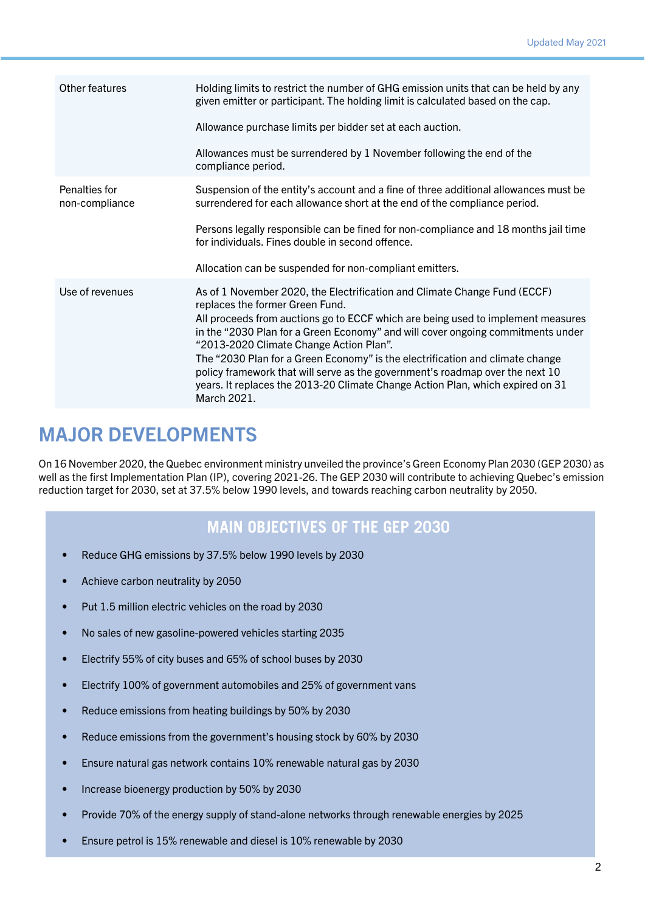| Other features                  | Holding limits to restrict the number of GHG emission units that can be held by any<br>given emitter or participant. The holding limit is calculated based on the cap.                                                                                          |
|---------------------------------|-----------------------------------------------------------------------------------------------------------------------------------------------------------------------------------------------------------------------------------------------------------------|
|                                 | Allowance purchase limits per bidder set at each auction.                                                                                                                                                                                                       |
|                                 | Allowances must be surrendered by 1 November following the end of the<br>compliance period.                                                                                                                                                                     |
| Penalties for<br>non-compliance | Suspension of the entity's account and a fine of three additional allowances must be<br>surrendered for each allowance short at the end of the compliance period.                                                                                               |
|                                 | Persons legally responsible can be fined for non-compliance and 18 months jail time<br>for individuals. Fines double in second offence.                                                                                                                         |
|                                 | Allocation can be suspended for non-compliant emitters.                                                                                                                                                                                                         |
| Use of revenues                 | As of 1 November 2020, the Electrification and Climate Change Fund (ECCF)<br>replaces the former Green Fund.                                                                                                                                                    |
|                                 | All proceeds from auctions go to ECCF which are being used to implement measures<br>in the "2030 Plan for a Green Economy" and will cover ongoing commitments under<br>"2013-2020 Climate Change Action Plan".                                                  |
|                                 | The "2030 Plan for a Green Economy" is the electrification and climate change<br>policy framework that will serve as the government's roadmap over the next 10<br>years. It replaces the 2013-20 Climate Change Action Plan, which expired on 31<br>March 2021. |

## MAJOR DEVELOPMENTS

On 16 November 2020, the Quebec environment ministry unveiled the province's Green Economy Plan 2030 (GEP 2030) as well as the first Implementation Plan (IP), covering 2021-26. The GEP 2030 will contribute to achieving Quebec's emission reduction target for 2030, set at 37.5% below 1990 levels, and towards reaching carbon neutrality by 2050.

#### **MAIN OBJECTIVES OF THE GEP 2030**

- Reduce GHG emissions by 37.5% below 1990 levels by 2030
- Achieve carbon neutrality by 2050
- Put 1.5 million electric vehicles on the road by 2030
- No sales of new gasoline-powered vehicles starting 2035
- Electrify 55% of city buses and 65% of school buses by 2030
- Electrify 100% of government automobiles and 25% of government vans
- Reduce emissions from heating buildings by 50% by 2030
- Reduce emissions from the government's housing stock by 60% by 2030
- Ensure natural gas network contains 10% renewable natural gas by 2030
- Increase bioenergy production by 50% by 2030
- Provide 70% of the energy supply of stand-alone networks through renewable energies by 2025
- Ensure petrol is 15% renewable and diesel is 10% renewable by 2030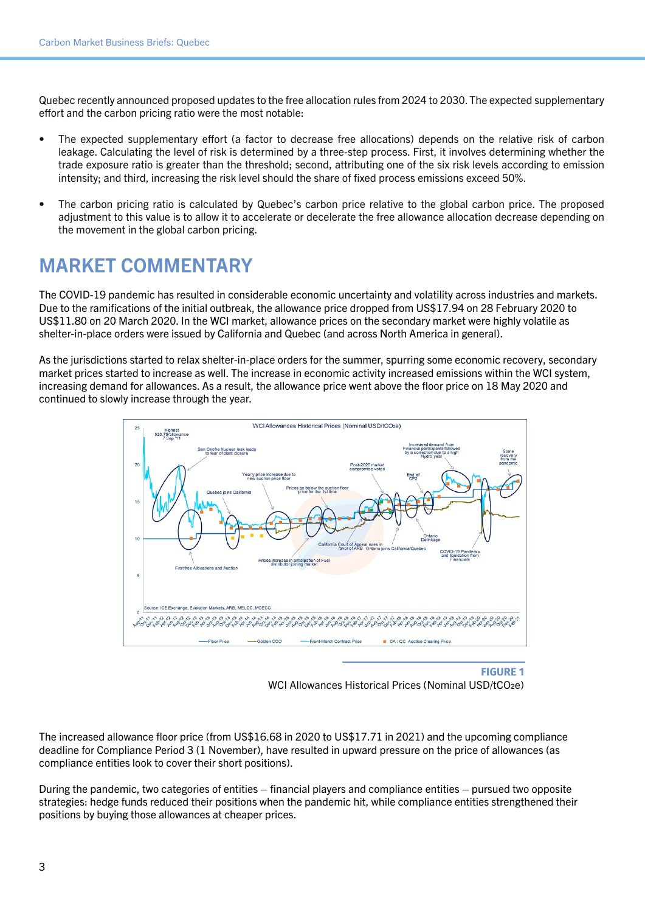Quebec recently announced proposed updates to the free allocation rules from 2024 to 2030. The expected supplementary effort and the carbon pricing ratio were the most notable:

- The expected supplementary effort (a factor to decrease free allocations) depends on the relative risk of carbon leakage. Calculating the level of risk is determined by a three-step process. First, it involves determining whether the trade exposure ratio is greater than the threshold; second, attributing one of the six risk levels according to emission intensity; and third, increasing the risk level should the share of fixed process emissions exceed 50%.
- The carbon pricing ratio is calculated by Quebec's carbon price relative to the global carbon price. The proposed adjustment to this value is to allow it to accelerate or decelerate the free allowance allocation decrease depending on the movement in the global carbon pricing.

# MARKET COMMENTARY

The COVID-19 pandemic has resulted in considerable economic uncertainty and volatility across industries and markets. Due to the ramifications of the initial outbreak, the allowance price dropped from US\$17.94 on 28 February 2020 to US\$11.80 on 20 March 2020. In the WCI market, allowance prices on the secondary market were highly volatile as shelter-in-place orders were issued by California and Quebec (and across North America in general).

As the jurisdictions started to relax shelter-in-place orders for the summer, spurring some economic recovery, secondary market prices started to increase as well. The increase in economic activity increased emissions within the WCI system, increasing demand for allowances. As a result, the allowance price went above the floor price on 18 May 2020 and continued to slowly increase through the year.



**FIGURE 1** WCI Allowances Historical Prices (Nominal USD/tCO<sub>2e</sub>)

The increased allowance floor price (from US\$16.68 in 2020 to US\$17.71 in 2021) and the upcoming compliance deadline for Compliance Period 3 (1 November), have resulted in upward pressure on the price of allowances (as compliance entities look to cover their short positions).

During the pandemic, two categories of entities – financial players and compliance entities – pursued two opposite strategies: hedge funds reduced their positions when the pandemic hit, while compliance entities strengthened their positions by buying those allowances at cheaper prices.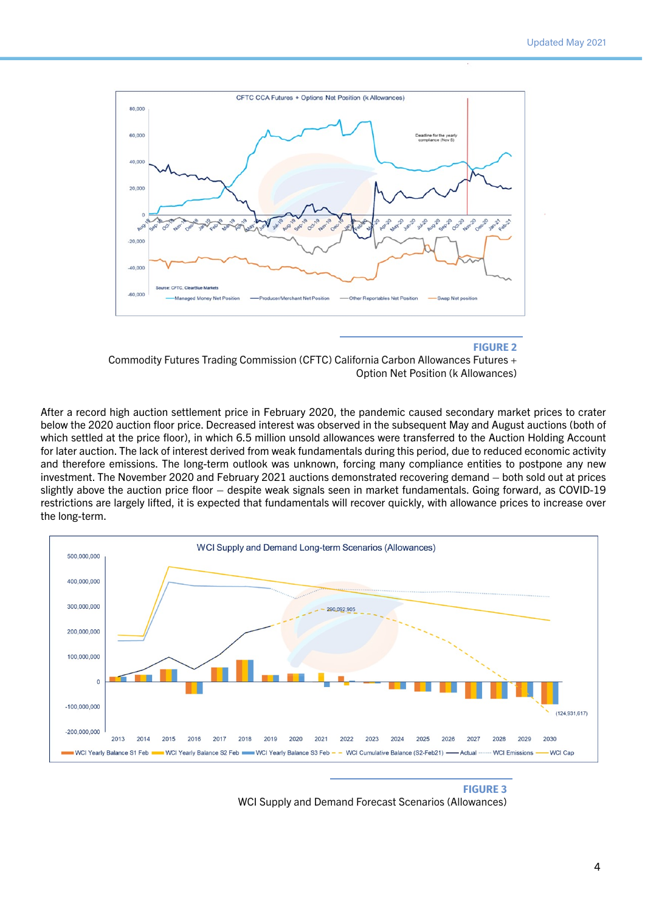

#### **FIGURE 2**

Commodity Futures Trading Commission (CFTC) California Carbon Allowances Futures + Option Net Position (k Allowances)

After a record high auction settlement price in February 2020, the pandemic caused secondary market prices to crater below the 2020 auction floor price. Decreased interest was observed in the subsequent May and August auctions (both of which settled at the price floor), in which 6.5 million unsold allowances were transferred to the Auction Holding Account for later auction. The lack of interest derived from weak fundamentals during this period, due to reduced economic activity and therefore emissions. The long-term outlook was unknown, forcing many compliance entities to postpone any new investment. The November 2020 and February 2021 auctions demonstrated recovering demand – both sold out at prices slightly above the auction price floor – despite weak signals seen in market fundamentals. Going forward, as COVID-19 restrictions are largely lifted, it is expected that fundamentals will recover quickly, with allowance prices to increase over the long-term.



**FIGURE 3** WCI Supply and Demand Forecast Scenarios (Allowances)